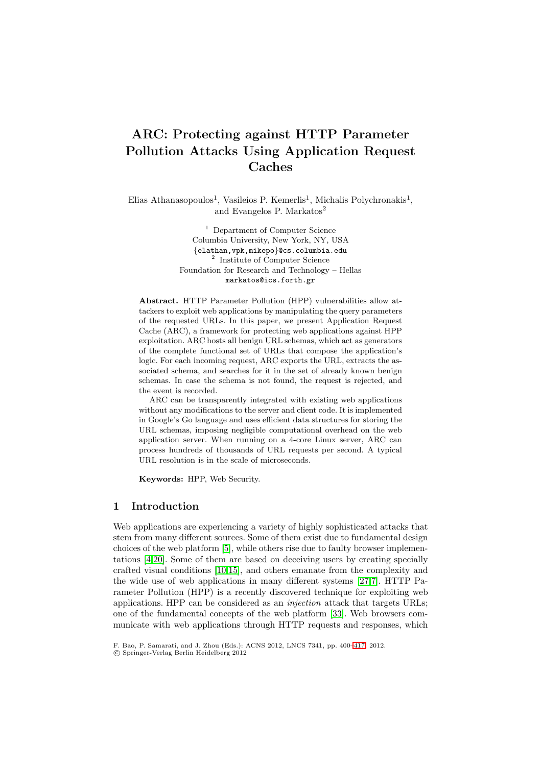# **ARC: Protecting against HTTP Parameter Pollution Attacks Using Application Request Caches**

Elias Athanasopoulos<sup>1</sup>, Vasileios P. Kemerlis<sup>1</sup>, Michalis Polychronakis<sup>1</sup>, and Evangelos P. Markatos<sup>2</sup>

> <sup>1</sup> Department of Computer Science Columbia University, New York, NY, USA *{*elathan,vpk,mikepo*}*@cs.columbia.edu <sup>2</sup> Institute of Computer Science Foundation for Research and Technology – Hellas markatos@ics.forth.gr

**Abstract.** HTTP Parameter Pollution (HPP) vulnerabilities allow attackers to exploit web applications by manipulating the query parameters of the requested URLs. In this paper, we present Application Request Cache (ARC), a framework for protecting web applications against HPP exploitation. ARC hosts all benign URL schemas, which act as generators of the complete functional set of URLs that compose the application's logic. For each incoming request, ARC exports the URL, extracts the associated schema, and searches for it in the set of already known benign schemas. In case the schema is not found, the request is rejected, and the event is recorded.

ARC can be transparently integrated with existing web applications without any modifications to the server and client code. It is implemented in Google's Go language and uses efficient data structures for storing the URL schemas, imposing negligible computational overhead on the web application server. When running on a 4-core Linux server, ARC can process hundreds of thousands of URL requests per second. A typical URL resolution is in the scale of microseconds.

**Keywords:** HPP, Web Security.

## **1 Introduction**

Web applications are experiencing a variety of highly sophisticated attacks that stem from many different sources. Some of them exist due to fundamental design choices of the web platform [\[5\]](#page-16-0), while others rise due to faulty browser implementations [\[4](#page-15-0)[,20\]](#page-16-1). Some of them are based on deceiving users by creating specially crafted visual conditions [\[10](#page-16-2)[,15\]](#page-16-3), and others emanate from the complexity and the wide use of web applications in many different systems [\[27](#page-17-0)[,7\]](#page-16-4). HTTP Parameter Pollution (HPP) is a recently discovered technique for exploiting web applications. HPP can be considered as an *injection* attack that targets URLs; one of the fundamental concepts of the web platform [\[33\]](#page-17-1). Web browsers communicate with web applications through HTTP requests and responses, which

F. Bao, P. Samarati, and J. Zhou (Eds.): ACNS 2012, LNCS 7341, pp. 400[–417,](#page-15-1) 2012.

<sup>-</sup>c Springer-Verlag Berlin Heidelberg 2012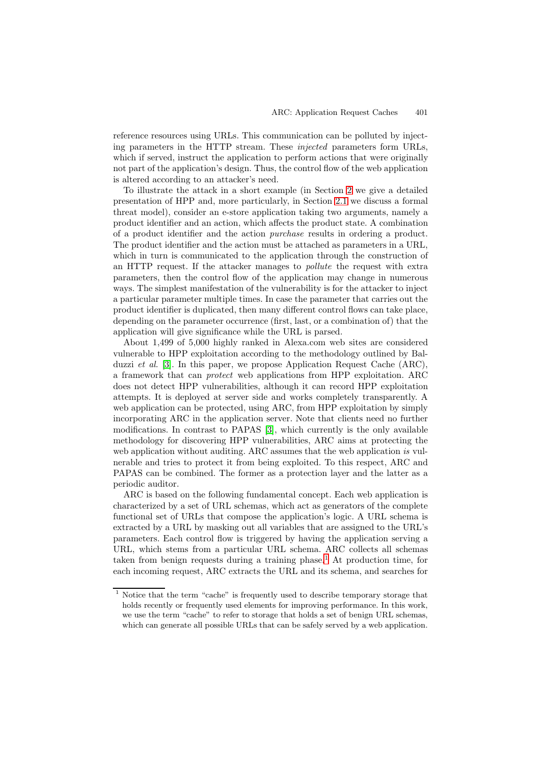reference resources using URLs. This communication can be polluted by injecting parameters in the HTTP stream. These *injected* parameters form URLs, which if served, instruct the application to perform actions that were originally not part of the application's design. Thus, the control flow of the web application is altered according to an attacker's need.

To illustrate the attack in a short example (in Section [2](#page-2-0) we give a detailed presentation of HPP and, more particularly, in Section [2.1](#page-4-0) we discuss a formal threat model), consider an e-store application taking two arguments, namely a product identifier and an action, which affects the product state. A combination of a product identifier and the action *purchase* results in ordering a product. The product identifier and the action must be attached as parameters in a URL, which in turn is communicated to the application through the construction of an HTTP request. If the attacker manages to *pollute* the request with extra parameters, then the control flow of the application may change in numerous ways. The simplest manifestation of the vulnerability is for the attacker to inject a particular parameter multiple times. In case the parameter that carries out the product identifier is duplicated, then many different control flows can take place, depending on the parameter occurrence (first, last, or a combination of) that the application will give significance while the URL is parsed.

About 1,499 of 5,000 highly ranked in Alexa.com web sites are considered vulnerable to HPP exploitation according to the methodology outlined by Balduzzi *et al.* [\[3\]](#page-15-2). In this paper, we propose Application Request Cache (ARC), a framework that can *protect* web applications from HPP exploitation. ARC does not detect HPP vulnerabilities, although it can record HPP exploitation attempts. It is deployed at server side and works completely transparently. A web application can be protected, using ARC, from HPP exploitation by simply incorporating ARC in the application server. Note that clients need no further modifications. In contrast to PAPAS [\[3\]](#page-15-2), which currently is the only available methodology for discovering HPP vulnerabilities, ARC aims at protecting the web application without auditing. ARC assumes that the web application *is* vulnerable and tries to protect it from being exploited. To this respect, ARC and PAPAS can be combined. The former as a protection layer and the latter as a periodic auditor.

ARC is based on the following fundamental concept. Each web application is characterized by a set of URL schemas, which act as generators of the complete functional set of URLs that compose the application's logic. A URL schema is extracted by a URL by masking out all variables that are assigned to the URL's parameters. Each control flow is triggered by having the application serving a URL, which stems from a particular URL schema. ARC collects all schemas taken from benign requests during a training phase.<sup>[1](#page-1-0)</sup> At production time, for each incoming request, ARC extracts the URL and its schema, and searches for

<span id="page-1-0"></span>Notice that the term "cache" is frequently used to describe temporary storage that holds recently or frequently used elements for improving performance. In this work, we use the term "cache" to refer to storage that holds a set of benign URL schemas, which can generate all possible URLs that can be safely served by a web application.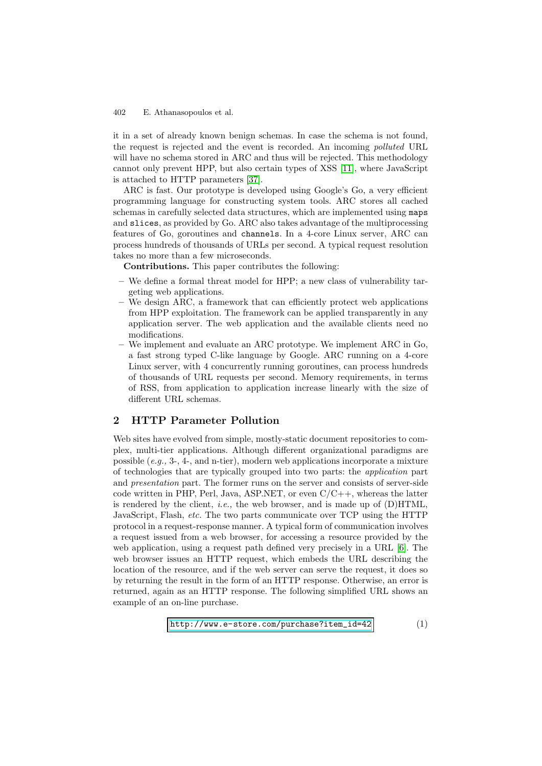it in a set of already known benign schemas. In case the schema is not found, the request is rejected and the event is recorded. An incoming *polluted* URL will have no schema stored in ARC and thus will be rejected. This methodology cannot only prevent HPP, but also certain types of XSS [\[11\]](#page-16-5), where JavaScript is attached to HTTP parameters [\[37\]](#page-17-2).

ARC is fast. Our prototype is developed using Google's Go, a very efficient programming language for constructing system tools. ARC stores all cached schemas in carefully selected data structures, which are implemented using maps and slices, as provided by Go. ARC also takes advantage of the multiprocessing features of Go, goroutines and channels. In a 4-core Linux server, ARC can process hundreds of thousands of URLs per second. A typical request resolution takes no more than a few microseconds.

**Contributions.** This paper contributes the following:

- **–** We define a formal threat model for HPP; a new class of vulnerability targeting web applications.
- **–** We design ARC, a framework that can efficiently protect web applications from HPP exploitation. The framework can be applied transparently in any application server. The web application and the available clients need no modifications.
- **–** We implement and evaluate an ARC prototype. We implement ARC in Go, a fast strong typed C-like language by Google. ARC running on a 4-core Linux server, with 4 concurrently running goroutines, can process hundreds of thousands of URL requests per second. Memory requirements, in terms of RSS, from application to application increase linearly with the size of different URL schemas.

# <span id="page-2-0"></span>**2 HTTP Parameter Pollution**

Web sites have evolved from simple, mostly-static document repositories to complex, multi-tier applications. Although different organizational paradigms are possible (*e.g.,* 3-, 4-, and n-tier), modern web applications incorporate a mixture of technologies that are typically grouped into two parts: the *application* part and *presentation* part. The former runs on the server and consists of server-side code written in PHP, Perl, Java, ASP.NET, or even  $C/C++$ , whereas the latter is rendered by the client, *i.e.,* the web browser, and is made up of (D)HTML, JavaScript, Flash, *etc.* The two parts communicate over TCP using the HTTP protocol in a request-response manner. A typical form of communication involves a request issued from a web browser, for accessing a resource provided by the web application, using a request path defined very precisely in a URL [\[6\]](#page-16-6). The web browser issues an HTTP request, which embeds the URL describing the location of the resource, and if the web server can serve the request, it does so by returning the result in the form of an HTTP response. Otherwise, an error is returned, again as an HTTP response. The following simplified URL shows an example of an on-line purchase.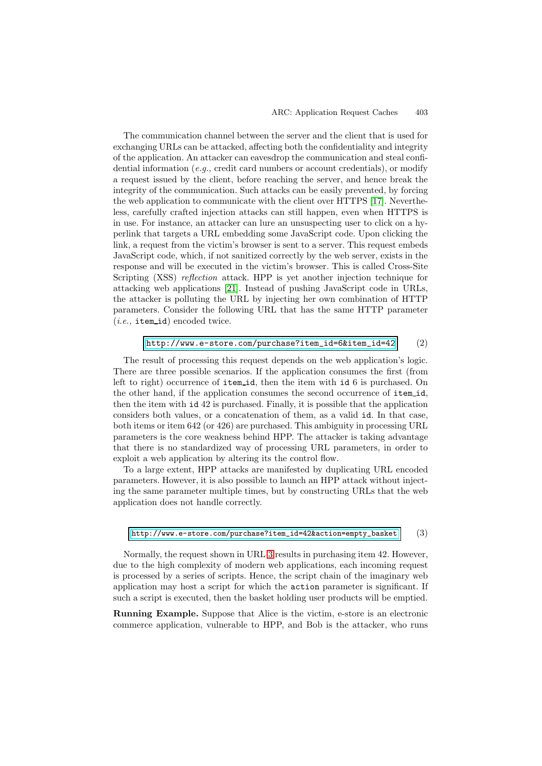The communication channel between the server and the client that is used for exchanging URLs can be attacked, affecting both the confidentiality and integrity of the application. An attacker can eavesdrop the communication and steal confidential information (*e.g.,* credit card numbers or account credentials), or modify a request issued by the client, before reaching the server, and hence break the integrity of the communication. Such attacks can be easily prevented, by forcing the web application to communicate with the client over HTTPS [\[17\]](#page-16-7). Nevertheless, carefully crafted injection attacks can still happen, even when HTTPS is in use. For instance, an attacker can lure an unsuspecting user to click on a hyperlink that targets a URL embedding some JavaScript code. Upon clicking the link, a request from the victim's browser is sent to a server. This request embeds JavaScript code, which, if not sanitized correctly by the web server, exists in the response and will be executed in the victim's browser. This is called Cross-Site Scripting (XSS) *reflection* attack. HPP is yet another injection technique for attacking web applications [\[21\]](#page-16-8). Instead of pushing JavaScript code in URLs, the attacker is polluting the URL by injecting her own combination of HTTP parameters. Consider the following URL that has the same HTTP parameter (*i.e.,* item id) encoded twice.

$$
\verb+http://www.e-store.com/purchase?item_id=6&item_id=42| (2)
$$

The result of processing this request depends on the web application's logic. There are three possible scenarios. If the application consumes the first (from left to right) occurrence of item id, then the item with id 6 is purchased. On the other hand, if the application consumes the second occurrence of item id, then the item with id 42 is purchased. Finally, it is possible that the application considers both values, or a concatenation of them, as a valid id. In that case, both items or item 642 (or 426) are purchased. This ambiguity in processing URL parameters is the core weakness behind HPP. The attacker is taking advantage that there is no standardized way of processing URL parameters, in order to exploit a web application by altering its the control flow.

To a large extent, HPP attacks are manifested by duplicating URL encoded parameters. However, it is also possible to launch an HPP attack without injecting the same parameter multiple times, but by constructing URLs that the web application does not handle correctly.

<span id="page-3-0"></span>

Normally, the request shown in URL [3](#page-3-0) results in purchasing item 42. However, due to the high complexity of modern web applications, each incoming request is processed by a series of scripts. Hence, the script chain of the imaginary web application may host a script for which the action parameter is significant. If such a script is executed, then the basket holding user products will be emptied.

**Running Example.** Suppose that Alice is the victim, e-store is an electronic commerce application, vulnerable to HPP, and Bob is the attacker, who runs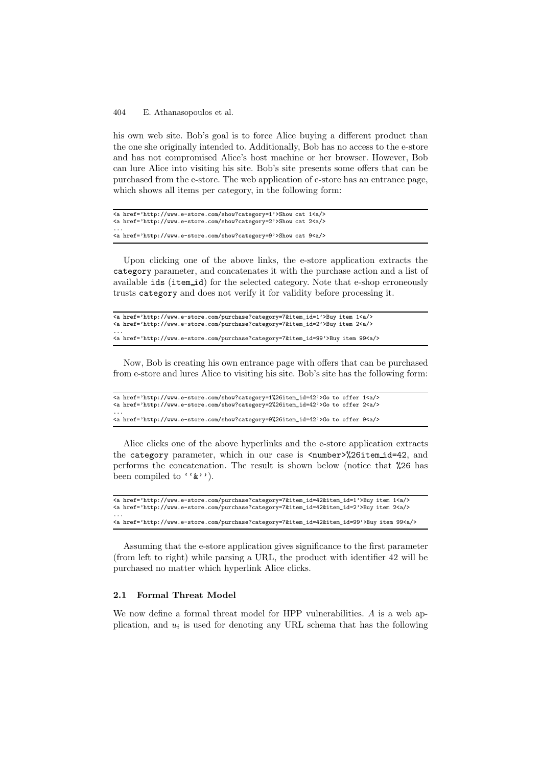his own web site. Bob's goal is to force Alice buying a different product than the one she originally intended to. Additionally, Bob has no access to the e-store and has not compromised Alice's host machine or her browser. However, Bob can lure Alice into visiting his site. Bob's site presents some offers that can be purchased from the e-store. The web application of e-store has an entrance page, which shows all items per category, in the following form:

```
<a href='http://www.e-store.com/show?category=1'>Show cat 1<a/>
<a href='http://www.e-store.com/show?category=2'>Show cat 2<a/>
...
<a href='http://www.e-store.com/show?category=9'>Show cat 9<a/>
```
Upon clicking one of the above links, the e-store application extracts the category parameter, and concatenates it with the purchase action and a list of available ids (item\_id) for the selected category. Note that e-shop erroneously trusts category and does not verify it for validity before processing it.

```
<a href='http://www.e-store.com/purchase?category=7&item_id=1'>Buy item 1<a/>
<a href='http://www.e-store.com/purchase?category=7&item_id=2'>Buy item 2<a/>
...
<a href='http://www.e-store.com/purchase?category=7&item_id=99'>Buy item 99<a/>
```
Now, Bob is creating his own entrance page with offers that can be purchased from e-store and lures Alice to visiting his site. Bob's site has the following form:

```
<a href='http://www.e-store.com/show?category=1%26item_id=42'>Go to offer 1<a/>
<a href='http://www.e-store.com/show?category=2%26item_id=42'>Go to offer 2<a/>
...
<a href='http://www.e-store.com/show?category=9%26item_id=42'>Go to offer 9<a/>
```
Alice clicks one of the above hyperlinks and the e-store application extracts the category parameter, which in our case is  $\langle \text{number}\rangle\$ 26item\_id=42, and performs the concatenation. The result is shown below (notice that %26 has been compiled to  $($ <del>( $\chi$ '</del>).

```
<a href='http://www.e-store.com/purchase?category=7&item_id=42&item_id=1'>Buy item 1<a/>
<a href='http://www.e-store.com/purchase?category=7&item_id=42&item_id=2'>Buy item 2<a/>
...
<a href='http://www.e-store.com/purchase?category=7&item_id=42&item_id=99'>Buy item 99<a/>
```
Assuming that the e-store application gives significance to the first parameter (from left to right) while parsing a URL, the product with identifier 42 will be purchased no matter which hyperlink Alice clicks.

# <span id="page-4-0"></span>**2.1 Formal Threat Model**

We now define a formal threat model for HPP vulnerabilities. A is a web application, and  $u_i$  is used for denoting any URL schema that has the following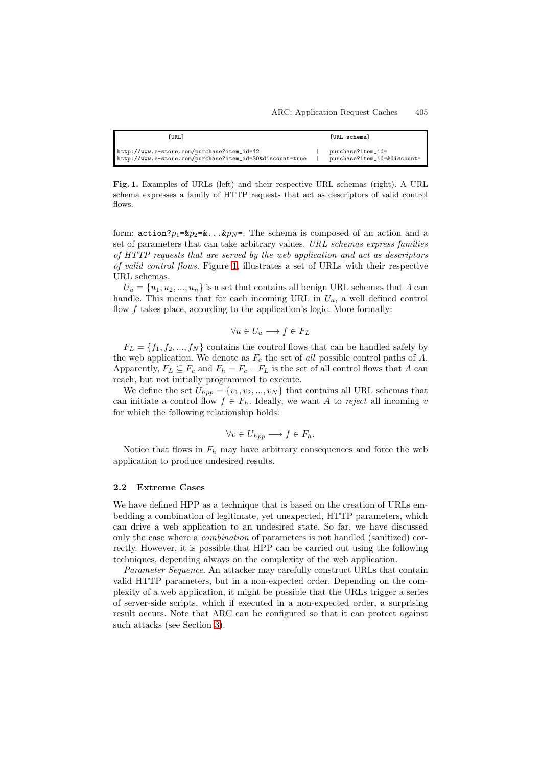| [URL]                                                                                                  | [URL schema]                                     |
|--------------------------------------------------------------------------------------------------------|--------------------------------------------------|
| http://www.e-store.com/purchase?item_id=42<br>http://www.e-store.com/purchase?item_id=30&discount=true | purchase?item_id=<br>purchase?item_id=&discount= |

<span id="page-5-0"></span>**Fig. 1.** Examples of URLs (left) and their respective URL schemas (right). A URL schema expresses a family of HTTP requests that act as descriptors of valid control flows.

form:  $\texttt{action?} p_1 = \texttt{\&} p_2 = \texttt{\&} \dots \texttt{\&} p_N = \texttt{.}$  The schema is composed of an action and a set of parameters that can take arbitrary values. *URL schemas express families of HTTP requests that are served by the web application and act as descriptors of valid control flows.* Figure [1,](#page-5-0) illustrates a set of URLs with their respective URL schemas.

 $U_a = \{u_1, u_2, ..., u_n\}$  is a set that contains all benign URL schemas that A can handle. This means that for each incoming URL in  $U_a$ , a well defined control flow  $f$  takes place, according to the application's logic. More formally:

$$
\forall u \in U_a \longrightarrow f \in F_L
$$

 $F_L = \{f_1, f_2, ..., f_N\}$  contains the control flows that can be handled safely by the web application. We denote as  $F_c$  the set of *all* possible control paths of  $A$ . Apparently,  $F_L \subseteq F_c$  and  $F_h = F_c - F_L$  is the set of all control flows that A can reach, but not initially programmed to execute.

We define the set  $U_{hyp} = \{v_1, v_2, ..., v_N\}$  that contains all URL schemas that can initiate a control flow  $f \in F_h$ . Ideally, we want A to *reject* all incoming v for which the following relationship holds:

$$
\forall v \in U_{hpp} \longrightarrow f \in F_h.
$$

Notice that flows in  $F_h$  may have arbitrary consequences and force the web application to produce undesired results.

### <span id="page-5-1"></span>**2.2 Extreme Cases**

We have defined HPP as a technique that is based on the creation of URLs embedding a combination of legitimate, yet unexpected, HTTP parameters, which can drive a web application to an undesired state. So far, we have discussed only the case where a *combination* of parameters is not handled (sanitized) correctly. However, it is possible that HPP can be carried out using the following techniques, depending always on the complexity of the web application.

*Parameter Sequence.* An attacker may carefully construct URLs that contain valid HTTP parameters, but in a non-expected order. Depending on the complexity of a web application, it might be possible that the URLs trigger a series of server-side scripts, which if executed in a non-expected order, a surprising result occurs. Note that ARC can be configured so that it can protect against such attacks (see Section [3\)](#page-6-0).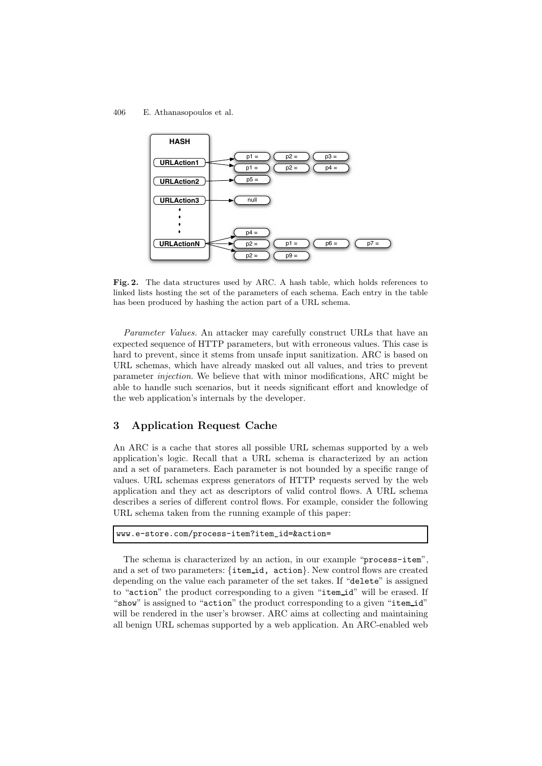

<span id="page-6-1"></span>**Fig. 2.** The data structures used by ARC. A hash table, which holds references to linked lists hosting the set of the parameters of each schema. Each entry in the table has been produced by hashing the action part of a URL schema.

*Parameter Values.* An attacker may carefully construct URLs that have an expected sequence of HTTP parameters, but with erroneous values. This case is hard to prevent, since it stems from unsafe input sanitization. ARC is based on URL schemas, which have already masked out all values, and tries to prevent parameter *injection*. We believe that with minor modifications, ARC might be able to handle such scenarios, but it needs significant effort and knowledge of the web application's internals by the developer.

## <span id="page-6-0"></span>**3 Application Request Cache**

An ARC is a cache that stores all possible URL schemas supported by a web application's logic. Recall that a URL schema is characterized by an action and a set of parameters. Each parameter is not bounded by a specific range of values. URL schemas express generators of HTTP requests served by the web application and they act as descriptors of valid control flows. A URL schema describes a series of different control flows. For example, consider the following URL schema taken from the running example of this paper:

www.e-store.com/process-item?item\_id=&action=

The schema is characterized by an action, in our example "process-item", and a set of two parameters: {item\_id, action}. New control flows are created depending on the value each parameter of the set takes. If "delete" is assigned to "action" the product corresponding to a given "item id" will be erased. If "show" is assigned to "action" the product corresponding to a given "item\_id" will be rendered in the user's browser. ARC aims at collecting and maintaining all benign URL schemas supported by a web application. An ARC-enabled web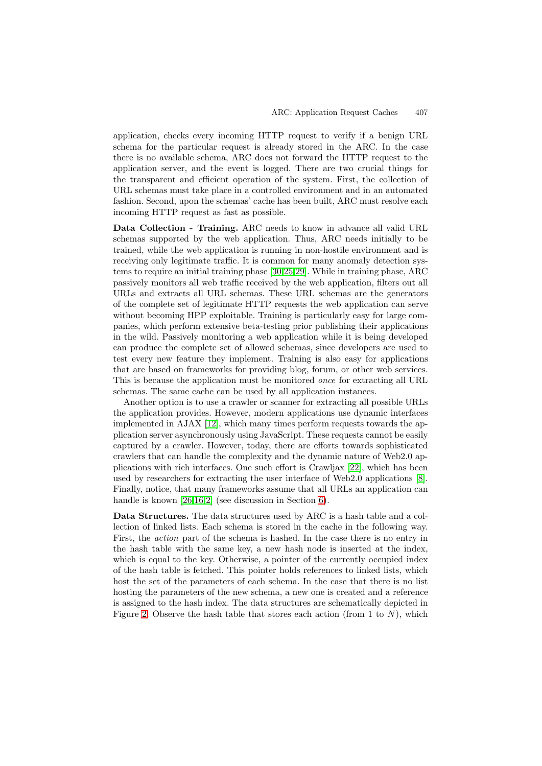application, checks every incoming HTTP request to verify if a benign URL schema for the particular request is already stored in the ARC. In the case there is no available schema, ARC does not forward the HTTP request to the application server, and the event is logged. There are two crucial things for the transparent and efficient operation of the system. First, the collection of URL schemas must take place in a controlled environment and in an automated fashion. Second, upon the schemas' cache has been built, ARC must resolve each incoming HTTP request as fast as possible.

**Data Collection - Training.** ARC needs to know in advance all valid URL schemas supported by the web application. Thus, ARC needs initially to be trained, while the web application is running in non-hostile environment and is receiving only legitimate traffic. It is common for many anomaly detection systems to require an initial training phase [\[30](#page-17-3)[,25,](#page-17-4)[29\]](#page-17-5). While in training phase, ARC passively monitors all web traffic received by the web application, filters out all URLs and extracts all URL schemas. These URL schemas are the generators of the complete set of legitimate HTTP requests the web application can serve without becoming HPP exploitable. Training is particularly easy for large companies, which perform extensive beta-testing prior publishing their applications in the wild. Passively monitoring a web application while it is being developed can produce the complete set of allowed schemas, since developers are used to test every new feature they implement. Training is also easy for applications that are based on frameworks for providing blog, forum, or other web services. This is because the application must be monitored *once* for extracting all URL schemas. The same cache can be used by all application instances.

Another option is to use a crawler or scanner for extracting all possible URLs the application provides. However, modern applications use dynamic interfaces implemented in AJAX [\[12\]](#page-16-9), which many times perform requests towards the application server asynchronously using JavaScript. These requests cannot be easily captured by a crawler. However, today, there are efforts towards sophisticated crawlers that can handle the complexity and the dynamic nature of Web2.0 applications with rich interfaces. One such effort is Crawljax [\[22\]](#page-16-10), which has been used by researchers for extracting the user interface of Web2.0 applications [\[8\]](#page-16-11). Finally, notice, that many frameworks assume that all URLs an application can handle is known [\[26](#page-17-6)[,16](#page-16-12)[,2\]](#page-15-3) (see discussion in Section [6\)](#page-14-0).

**Data Structures.** The data structures used by ARC is a hash table and a collection of linked lists. Each schema is stored in the cache in the following way. First, the *action* part of the schema is hashed. In the case there is no entry in the hash table with the same key, a new hash node is inserted at the index, which is equal to the key. Otherwise, a pointer of the currently occupied index of the hash table is fetched. This pointer holds references to linked lists, which host the set of the parameters of each schema. In the case that there is no list hosting the parameters of the new schema, a new one is created and a reference is assigned to the hash index. The data structures are schematically depicted in Figure [2.](#page-6-1) Observe the hash table that stores each action (from 1 to  $N$ ), which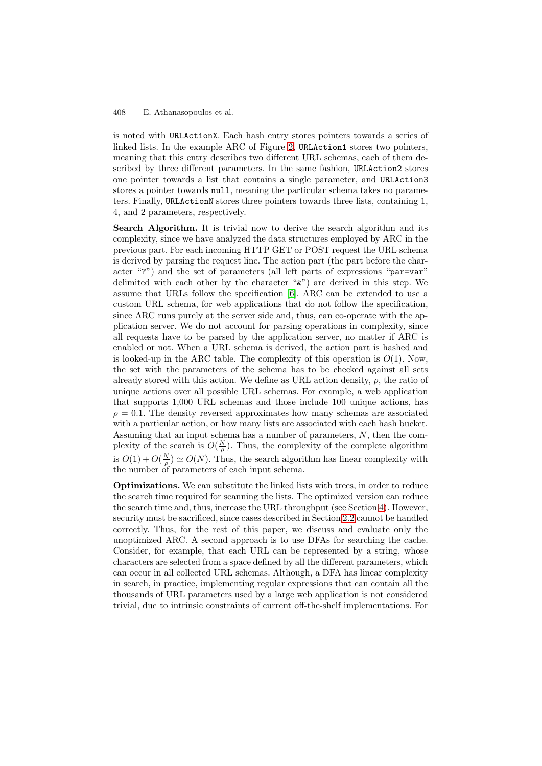is noted with URLActionX. Each hash entry stores pointers towards a series of linked lists. In the example ARC of Figure [2,](#page-6-1) URLAction1 stores two pointers, meaning that this entry describes two different URL schemas, each of them described by three different parameters. In the same fashion, URLAction2 stores one pointer towards a list that contains a single parameter, and URLAction3 stores a pointer towards null, meaning the particular schema takes no parameters. Finally, URLActionN stores three pointers towards three lists, containing 1, 4, and 2 parameters, respectively.

**Search Algorithm.** It is trivial now to derive the search algorithm and its complexity, since we have analyzed the data structures employed by ARC in the previous part. For each incoming HTTP GET or POST request the URL schema is derived by parsing the request line. The action part (the part before the character "?") and the set of parameters (all left parts of expressions "par=var" delimited with each other by the character "&") are derived in this step. We assume that URLs follow the specification [\[6\]](#page-16-6). ARC can be extended to use a custom URL schema, for web applications that do not follow the specification, since ARC runs purely at the server side and, thus, can co-operate with the application server. We do not account for parsing operations in complexity, since all requests have to be parsed by the application server, no matter if ARC is enabled or not. When a URL schema is derived, the action part is hashed and is looked-up in the ARC table. The complexity of this operation is  $O(1)$ . Now, the set with the parameters of the schema has to be checked against all sets already stored with this action. We define as URL action density,  $\rho$ , the ratio of unique actions over all possible URL schemas. For example, a web application that supports 1,000 URL schemas and those include 100 unique actions, has  $\rho = 0.1$ . The density reversed approximates how many schemas are associated with a particular action, or how many lists are associated with each hash bucket. Assuming that an input schema has a number of parameters,  $N$ , then the complexity of the search is  $O(\frac{N}{\rho})$ . Thus, the complexity of the complete algorithm is  $O(1) + O(\frac{N}{\rho}) \simeq O(N)$ . Thus, the search algorithm has linear complexity with the number of parameters of each input schema.

**Optimizations.** We can substitute the linked lists with trees, in order to reduce the search time required for scanning the lists. The optimized version can reduce the search time and, thus, increase the URL throughput (see Section [4\)](#page-9-0). However, security must be sacrificed, since cases described in Section [2.2](#page-5-1) cannot be handled correctly. Thus, for the rest of this paper, we discuss and evaluate only the unoptimized ARC. A second approach is to use DFAs for searching the cache. Consider, for example, that each URL can be represented by a string, whose characters are selected from a space defined by all the different parameters, which can occur in all collected URL schemas. Although, a DFA has linear complexity in search, in practice, implementing regular expressions that can contain all the thousands of URL parameters used by a large web application is not considered trivial, due to intrinsic constraints of current off-the-shelf implementations. For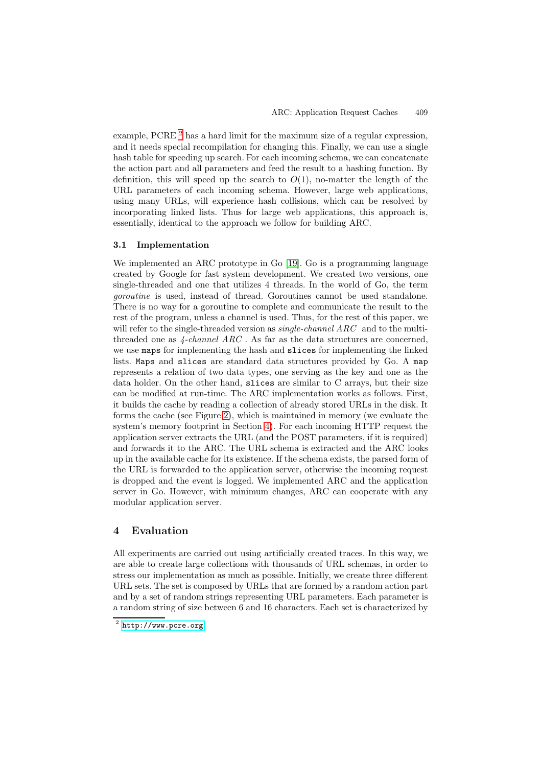example, PCRE [2](#page-9-1) has a hard limit for the maximum size of a regular expression, and it needs special recompilation for changing this. Finally, we can use a single hash table for speeding up search. For each incoming schema, we can concatenate the action part and all parameters and feed the result to a hashing function. By definition, this will speed up the search to  $O(1)$ , no-matter the length of the URL parameters of each incoming schema. However, large web applications, using many URLs, will experience hash collisions, which can be resolved by incorporating linked lists. Thus for large web applications, this approach is, essentially, identical to the approach we follow for building ARC.

### **3.1 Implementation**

We implemented an ARC prototype in Go [\[19\]](#page-16-13). Go is a programming language created by Google for fast system development. We created two versions, one single-threaded and one that utilizes 4 threads. In the world of Go, the term *goroutine* is used, instead of thread. Goroutines cannot be used standalone. There is no way for a goroutine to complete and communicate the result to the rest of the program, unless a channel is used. Thus, for the rest of this paper, we will refer to the single-threaded version as *single-channel ARC* and to the multithreaded one as *4-channel ARC* . As far as the data structures are concerned, we use maps for implementing the hash and slices for implementing the linked lists. Maps and slices are standard data structures provided by Go. A map represents a relation of two data types, one serving as the key and one as the data holder. On the other hand, slices are similar to C arrays, but their size can be modified at run-time. The ARC implementation works as follows. First, it builds the cache by reading a collection of already stored URLs in the disk. It forms the cache (see Figure [2\)](#page-6-1), which is maintained in memory (we evaluate the system's memory footprint in Section [4\)](#page-9-0). For each incoming HTTP request the application server extracts the URL (and the POST parameters, if it is required) and forwards it to the ARC. The URL schema is extracted and the ARC looks up in the available cache for its existence. If the schema exists, the parsed form of the URL is forwarded to the application server, otherwise the incoming request is dropped and the event is logged. We implemented ARC and the application server in Go. However, with minimum changes, ARC can cooperate with any modular application server.

# <span id="page-9-0"></span>**4 Evaluation**

All experiments are carried out using artificially created traces. In this way, we are able to create large collections with thousands of URL schemas, in order to stress our implementation as much as possible. Initially, we create three different URL sets. The set is composed by URLs that are formed by a random action part and by a set of random strings representing URL parameters. Each parameter is a random string of size between 6 and 16 characters. Each set is characterized by

<span id="page-9-1"></span> $\sqrt{2 \text{ http://www.pcre.org}}$  $\sqrt{2 \text{ http://www.pcre.org}}$  $\sqrt{2 \text{ http://www.pcre.org}}$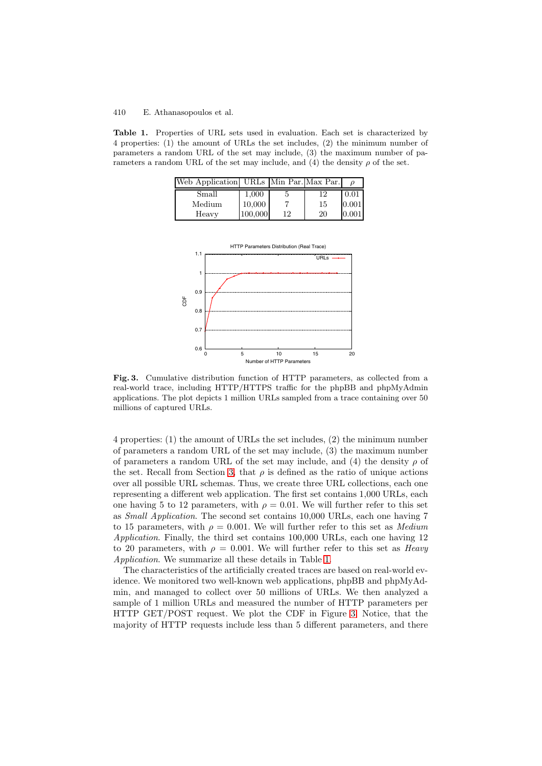<span id="page-10-0"></span>**Table 1.** Properties of URL sets used in evaluation. Each set is characterized by 4 properties: (1) the amount of URLs the set includes, (2) the minimum number of parameters a random URL of the set may include, (3) the maximum number of parameters a random URL of the set may include, and (4) the density  $\rho$  of the set.

| Web Application URLs Min Par. Max Par. |         |     |    |       |
|----------------------------------------|---------|-----|----|-------|
| Small                                  | 1.000   |     |    | 0.01  |
| Medium                                 | 10.000  |     | 15 | 0.001 |
| Heavy                                  | 100,000 | 19. | 20 | 0.001 |



<span id="page-10-1"></span>**Fig. 3.** Cumulative distribution function of HTTP parameters, as collected from a real-world trace, including HTTP/HTTPS traffic for the phpBB and phpMyAdmin applications. The plot depicts 1 million URLs sampled from a trace containing over 50 millions of captured URLs.

4 properties: (1) the amount of URLs the set includes, (2) the minimum number of parameters a random URL of the set may include, (3) the maximum number of parameters a random URL of the set may include, and (4) the density  $\rho$  of the set. Recall from Section [3,](#page-6-0) that  $\rho$  is defined as the ratio of unique actions over all possible URL schemas. Thus, we create three URL collections, each one representing a different web application. The first set contains 1,000 URLs, each one having 5 to 12 parameters, with  $\rho = 0.01$ . We will further refer to this set as *Small Application*. The second set contains 10,000 URLs, each one having 7 to 15 parameters, with  $\rho = 0.001$ . We will further refer to this set as *Medium Application*. Finally, the third set contains 100,000 URLs, each one having 12 to 20 parameters, with  $\rho = 0.001$ . We will further refer to this set as *Heavy Application*. We summarize all these details in Table [1.](#page-10-0)

The characteristics of the artificially created traces are based on real-world evidence. We monitored two well-known web applications, phpBB and phpMyAdmin, and managed to collect over 50 millions of URLs. We then analyzed a sample of 1 million URLs and measured the number of HTTP parameters per HTTP GET/POST request. We plot the CDF in Figure [3.](#page-10-1) Notice, that the majority of HTTP requests include less than 5 different parameters, and there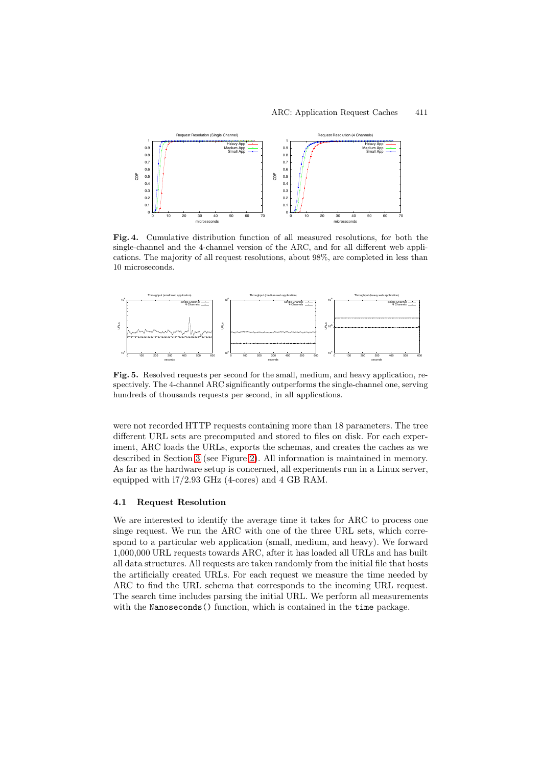

<span id="page-11-0"></span>**Fig. 4.** Cumulative distribution function of all measured resolutions, for both the single-channel and the 4-channel version of the ARC, and for all different web applications. The majority of all request resolutions, about 98%, are completed in less than 10 microseconds.



<span id="page-11-1"></span>**Fig. 5.** Resolved requests per second for the small, medium, and heavy application, respectively. The 4-channel ARC significantly outperforms the single-channel one, serving hundreds of thousands requests per second, in all applications.

were not recorded HTTP requests containing more than 18 parameters. The tree different URL sets are precomputed and stored to files on disk. For each experiment, ARC loads the URLs, exports the schemas, and creates the caches as we described in Section [3](#page-6-0) (see Figure [2\)](#page-6-1). All information is maintained in memory. As far as the hardware setup is concerned, all experiments run in a Linux server, equipped with i7/2.93 GHz (4-cores) and 4 GB RAM.

### **4.1 Request Resolution**

We are interested to identify the average time it takes for ARC to process one singe request. We run the ARC with one of the three URL sets, which correspond to a particular web application (small, medium, and heavy). We forward 1,000,000 URL requests towards ARC, after it has loaded all URLs and has built all data structures. All requests are taken randomly from the initial file that hosts the artificially created URLs. For each request we measure the time needed by ARC to find the URL schema that corresponds to the incoming URL request. The search time includes parsing the initial URL. We perform all measurements with the Nanoseconds() function, which is contained in the time package.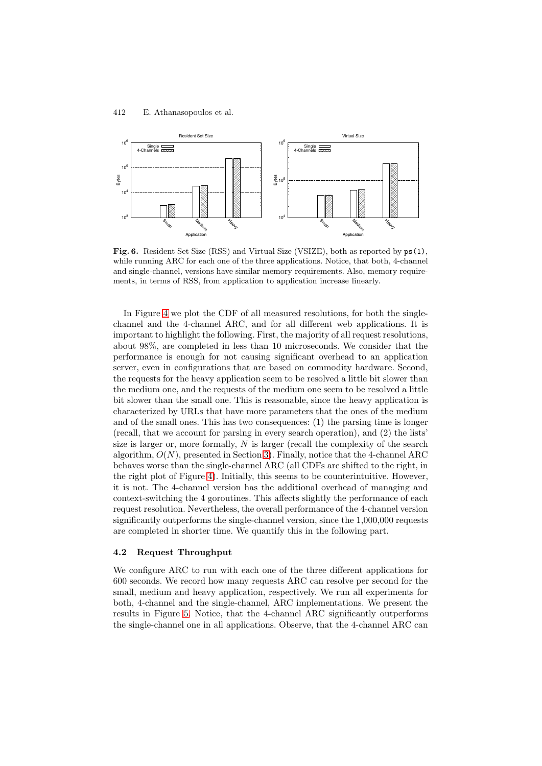

<span id="page-12-0"></span>Fig. 6. Resident Set Size (RSS) and Virtual Size (VSIZE), both as reported by  $p s(1)$ , while running ARC for each one of the three applications. Notice, that both, 4-channel and single-channel, versions have similar memory requirements. Also, memory requirements, in terms of RSS, from application to application increase linearly.

In Figure [4](#page-11-0) we plot the CDF of all measured resolutions, for both the singlechannel and the 4-channel ARC, and for all different web applications. It is important to highlight the following. First, the majority of all request resolutions, about 98%, are completed in less than 10 microseconds. We consider that the performance is enough for not causing significant overhead to an application server, even in configurations that are based on commodity hardware. Second, the requests for the heavy application seem to be resolved a little bit slower than the medium one, and the requests of the medium one seem to be resolved a little bit slower than the small one. This is reasonable, since the heavy application is characterized by URLs that have more parameters that the ones of the medium and of the small ones. This has two consequences: (1) the parsing time is longer (recall, that we account for parsing in every search operation), and (2) the lists' size is larger or, more formally,  $N$  is larger (recall the complexity of the search algorithm,  $O(N)$ , presented in Section [3\)](#page-6-0). Finally, notice that the 4-channel ARC behaves worse than the single-channel ARC (all CDFs are shifted to the right, in the right plot of Figure [4\)](#page-11-0). Initially, this seems to be counterintuitive. However, it is not. The 4-channel version has the additional overhead of managing and context-switching the 4 goroutines. This affects slightly the performance of each request resolution. Nevertheless, the overall performance of the 4-channel version significantly outperforms the single-channel version, since the 1,000,000 requests are completed in shorter time. We quantify this in the following part.

### **4.2 Request Throughput**

We configure ARC to run with each one of the three different applications for 600 seconds. We record how many requests ARC can resolve per second for the small, medium and heavy application, respectively. We run all experiments for both, 4-channel and the single-channel, ARC implementations. We present the results in Figure [5.](#page-11-1) Notice, that the 4-channel ARC significantly outperforms the single-channel one in all applications. Observe, that the 4-channel ARC can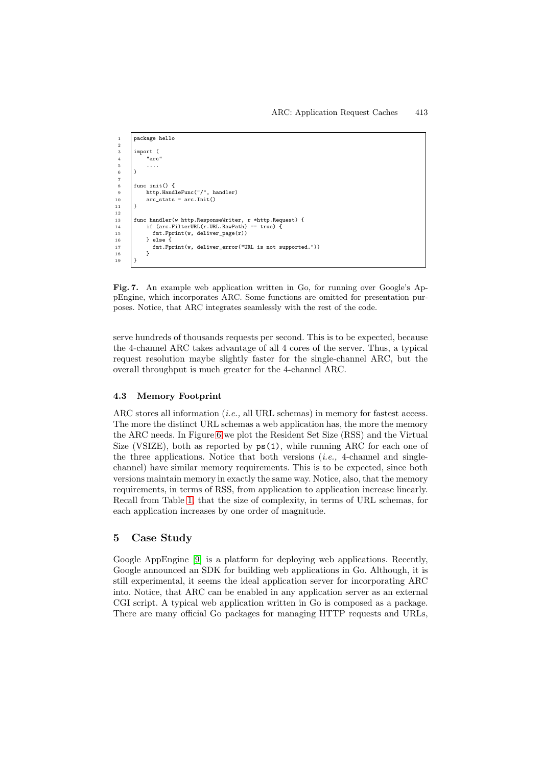```
1 package hello
 \begin{array}{c} 2 \\ 3 \\ 4 \end{array}import (
 \begin{array}{c|c} 4 & \cdots & \cdots \\ 5 & \cdots & \cdots \end{array}5 ....
  \begin{matrix} 6 \\ 7 \end{matrix} )
\begin{array}{c|c} 8 & \text{func init() } 6 \\ 9 & \text{http.Hand} \end{array}9 http.HandleFunc("/", handler)<br>10 \arctan x = \arctan x\arctan x = \arctan x. Init()
\overline{11}12
13 func handler(w http.ResponseWriter, r *http.Request) {<br>
14 if (arc.FilterURL(r.URL.RawPath) == true) {
14 if (arc.FilterURL(r.URL.RawPath)<br>15 fmt.Fprint(w. deliver page(r))
                  fmt.Fprint(w, deliver\_page(r))<br>} else {
16 \Big\} else {<br>17 \Big\} fmt.Fp
                  fmt.Fprint(w, deliver_error("URL is not supported."))
18 }
19 }
```
<span id="page-13-0"></span>Fig. 7. An example web application written in Go, for running over Google's AppEngine, which incorporates ARC. Some functions are omitted for presentation purposes. Notice, that ARC integrates seamlessly with the rest of the code.

serve hundreds of thousands requests per second. This is to be expected, because the 4-channel ARC takes advantage of all 4 cores of the server. Thus, a typical request resolution maybe slightly faster for the single-channel ARC, but the overall throughput is much greater for the 4-channel ARC.

### **4.3 Memory Footprint**

ARC stores all information (*i.e.,* all URL schemas) in memory for fastest access. The more the distinct URL schemas a web application has, the more the memory the ARC needs. In Figure [6](#page-12-0) we plot the Resident Set Size (RSS) and the Virtual Size (VSIZE), both as reported by  $p\mathbf{s}(1)$ , while running ARC for each one of the three applications. Notice that both versions (*i.e.,* 4-channel and singlechannel) have similar memory requirements. This is to be expected, since both versions maintain memory in exactly the same way. Notice, also, that the memory requirements, in terms of RSS, from application to application increase linearly. Recall from Table [1,](#page-10-0) that the size of complexity, in terms of URL schemas, for each application increases by one order of magnitude.

## **5 Case Study**

Google AppEngine [\[9\]](#page-16-14) is a platform for deploying web applications. Recently, Google announced an SDK for building web applications in Go. Although, it is still experimental, it seems the ideal application server for incorporating ARC into. Notice, that ARC can be enabled in any application server as an external CGI script. A typical web application written in Go is composed as a package. There are many official Go packages for managing HTTP requests and URLs,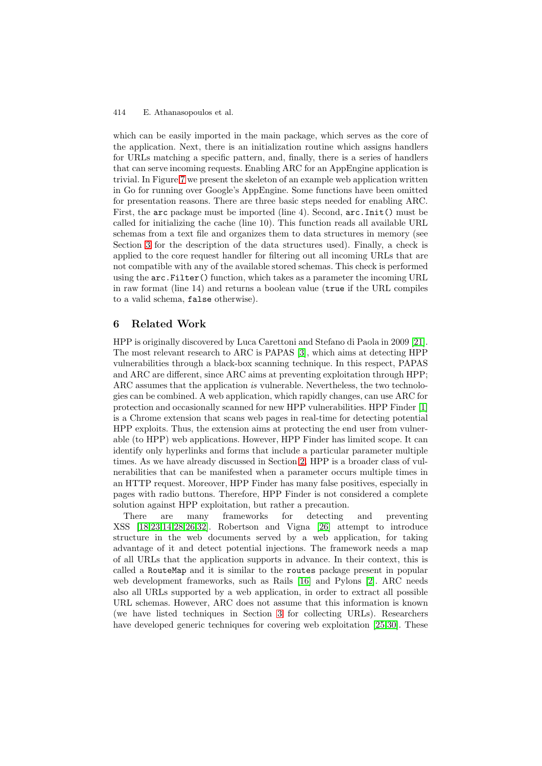which can be easily imported in the main package, which serves as the core of the application. Next, there is an initialization routine which assigns handlers for URLs matching a specific pattern, and, finally, there is a series of handlers that can serve incoming requests. Enabling ARC for an AppEngine application is trivial. In Figure [7](#page-13-0) we present the skeleton of an example web application written in Go for running over Google's AppEngine. Some functions have been omitted for presentation reasons. There are three basic steps needed for enabling ARC. First, the arc package must be imported (line 4). Second, arc.Init() must be called for initializing the cache (line 10). This function reads all available URL schemas from a text file and organizes them to data structures in memory (see Section [3](#page-6-0) for the description of the data structures used). Finally, a check is applied to the core request handler for filtering out all incoming URLs that are not compatible with any of the available stored schemas. This check is performed using the arc.Filter() function, which takes as a parameter the incoming URL in raw format (line 14) and returns a boolean value (true if the URL compiles to a valid schema, false otherwise).

## <span id="page-14-0"></span>**6 Related Work**

HPP is originally discovered by Luca Carettoni and Stefano di Paola in 2009 [\[21\]](#page-16-8). The most relevant research to ARC is PAPAS [\[3\]](#page-15-2), which aims at detecting HPP vulnerabilities through a black-box scanning technique. In this respect, PAPAS and ARC are different, since ARC aims at preventing exploitation through HPP; ARC assumes that the application *is* vulnerable. Nevertheless, the two technologies can be combined. A web application, which rapidly changes, can use ARC for protection and occasionally scanned for new HPP vulnerabilities. HPP Finder [\[1\]](#page-15-4) is a Chrome extension that scans web pages in real-time for detecting potential HPP exploits. Thus, the extension aims at protecting the end user from vulnerable (to HPP) web applications. However, HPP Finder has limited scope. It can identify only hyperlinks and forms that include a particular parameter multiple times. As we have already discussed in Section [2,](#page-2-0) HPP is a broader class of vulnerabilities that can be manifested when a parameter occurs multiple times in an HTTP request. Moreover, HPP Finder has many false positives, especially in pages with radio buttons. Therefore, HPP Finder is not considered a complete solution against HPP exploitation, but rather a precaution.

There are many frameworks for detecting and preventing XSS [\[18,](#page-16-15)[23](#page-17-7)[,14](#page-16-16)[,28](#page-17-8)[,26,](#page-17-6)[32\]](#page-17-9). Robertson and Vigna [\[26\]](#page-17-6) attempt to introduce structure in the web documents served by a web application, for taking advantage of it and detect potential injections. The framework needs a map of all URLs that the application supports in advance. In their context, this is called a RouteMap and it is similar to the routes package present in popular web development frameworks, such as Rails [\[16\]](#page-16-12) and Pylons [\[2\]](#page-15-3). ARC needs also all URLs supported by a web application, in order to extract all possible URL schemas. However, ARC does not assume that this information is known (we have listed techniques in Section [3](#page-6-0) for collecting URLs). Researchers have developed generic techniques for covering web exploitation [\[25,](#page-17-4)[30\]](#page-17-3). These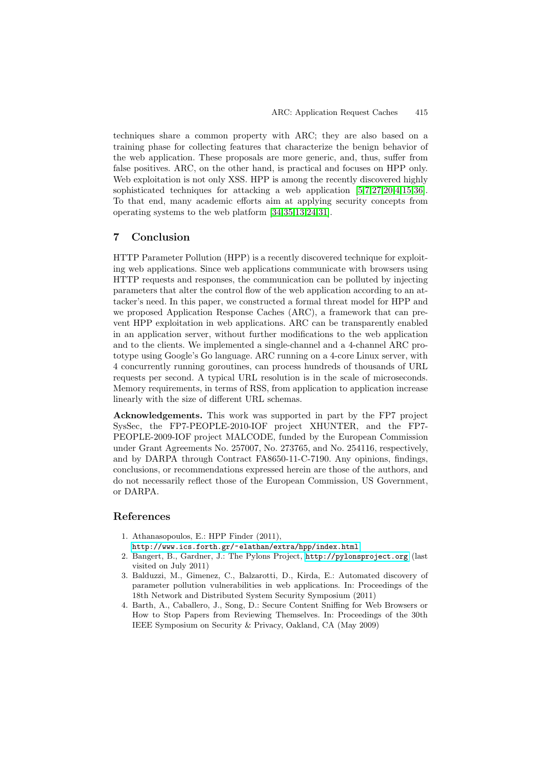techniques share a common property with ARC; they are also based on a training phase for collecting features that characterize the benign behavior of the web application. These proposals are more generic, and, thus, suffer from false positives. ARC, on the other hand, is practical and focuses on HPP only. Web exploitation is not only XSS. HPP is among the recently discovered highly sophisticated techniques for attacking a web application [\[5](#page-16-0)[,7,](#page-16-4)[27](#page-17-0)[,20](#page-16-1)[,4](#page-15-0)[,15,](#page-16-3)[36\]](#page-17-10). To that end, many academic efforts aim at applying security concepts from operating systems to the web platform [\[34,](#page-17-11)[35](#page-17-12)[,13](#page-16-17)[,24,](#page-17-13)[31\]](#page-17-14).

# **7 Conclusion**

HTTP Parameter Pollution (HPP) is a recently discovered technique for exploiting web applications. Since web applications communicate with browsers using HTTP requests and responses, the communication can be polluted by injecting parameters that alter the control flow of the web application according to an attacker's need. In this paper, we constructed a formal threat model for HPP and we proposed Application Response Caches (ARC), a framework that can prevent HPP exploitation in web applications. ARC can be transparently enabled in an application server, without further modifications to the web application and to the clients. We implemented a single-channel and a 4-channel ARC prototype using Google's Go language. ARC running on a 4-core Linux server, with 4 concurrently running goroutines, can process hundreds of thousands of URL requests per second. A typical URL resolution is in the scale of microseconds. Memory requirements, in terms of RSS, from application to application increase linearly with the size of different URL schemas.

**Acknowledgements.** This work was supported in part by the FP7 project SysSec, the FP7-PEOPLE-2010-IOF project XHUNTER, and the FP7- PEOPLE-2009-IOF project MALCODE, funded by the European Commission under Grant Agreements No. 257007, No. 273765, and No. 254116, respectively, and by DARPA through Contract FA8650-11-C-7190. Any opinions, findings, conclusions, or recommendations expressed herein are those of the authors, and do not necessarily reflect those of the European Commission, US Government, or DARPA.

# <span id="page-15-4"></span><span id="page-15-1"></span>**References**

- 1. Athanasopoulos, E.: HPP Finder (2011),
- <http://www.ics.forth.gr/~elathan/extra/hpp/index.html>
- <span id="page-15-3"></span>2. Bangert, B., Gardner, J.: The Pylons Project, <http://pylonsproject.org> (last visited on July 2011)
- <span id="page-15-2"></span>3. Balduzzi, M., Gimenez, C., Balzarotti, D., Kirda, E.: Automated discovery of parameter pollution vulnerabilities in web applications. In: Proceedings of the 18th Network and Distributed System Security Symposium (2011)
- <span id="page-15-0"></span>4. Barth, A., Caballero, J., Song, D.: Secure Content Sniffing for Web Browsers or How to Stop Papers from Reviewing Themselves. In: Proceedings of the 30th IEEE Symposium on Security & Privacy, Oakland, CA (May 2009)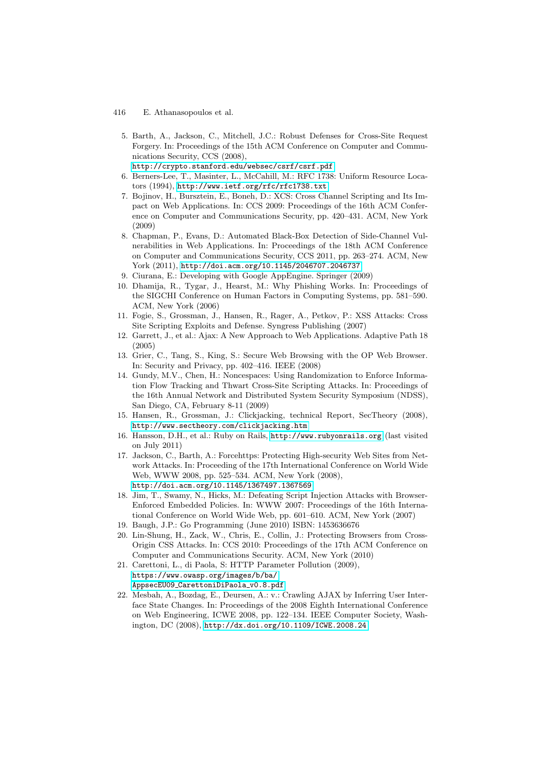- <span id="page-16-0"></span>416 E. Athanasopoulos et al.
	- 5. Barth, A., Jackson, C., Mitchell, J.C.: Robust Defenses for Cross-Site Request Forgery. In: Proceedings of the 15th ACM Conference on Computer and Communications Security, CCS (2008),

<http://crypto.stanford.edu/websec/csrf/csrf.pdf>

- <span id="page-16-6"></span>6. Berners-Lee, T., Masinter, L., McCahill, M.: RFC 1738: Uniform Resource Locators (1994), <http://www.ietf.org/rfc/rfc1738.txt>
- <span id="page-16-4"></span>7. Bojinov, H., Bursztein, E., Boneh, D.: XCS: Cross Channel Scripting and Its Impact on Web Applications. In: CCS 2009: Proceedings of the 16th ACM Conference on Computer and Communications Security, pp. 420–431. ACM, New York (2009)
- <span id="page-16-11"></span>8. Chapman, P., Evans, D.: Automated Black-Box Detection of Side-Channel Vulnerabilities in Web Applications. In: Proceedings of the 18th ACM Conference on Computer and Communications Security, CCS 2011, pp. 263–274. ACM, New York (2011), <http://doi.acm.org/10.1145/2046707.2046737>
- <span id="page-16-14"></span><span id="page-16-2"></span>9. Ciurana, E.: Developing with Google AppEngine. Springer (2009)
- 10. Dhamija, R., Tygar, J., Hearst, M.: Why Phishing Works. In: Proceedings of the SIGCHI Conference on Human Factors in Computing Systems, pp. 581–590. ACM, New York (2006)
- <span id="page-16-5"></span>11. Fogie, S., Grossman, J., Hansen, R., Rager, A., Petkov, P.: XSS Attacks: Cross Site Scripting Exploits and Defense. Syngress Publishing (2007)
- <span id="page-16-9"></span>12. Garrett, J., et al.: Ajax: A New Approach to Web Applications. Adaptive Path 18 (2005)
- <span id="page-16-17"></span>13. Grier, C., Tang, S., King, S.: Secure Web Browsing with the OP Web Browser. In: Security and Privacy, pp. 402–416. IEEE (2008)
- <span id="page-16-16"></span>14. Gundy, M.V., Chen, H.: Noncespaces: Using Randomization to Enforce Information Flow Tracking and Thwart Cross-Site Scripting Attacks. In: Proceedings of the 16th Annual Network and Distributed System Security Symposium (NDSS), San Diego, CA, February 8-11 (2009)
- <span id="page-16-3"></span>15. Hansen, R., Grossman, J.: Clickjacking, technical Report, SecTheory (2008), <http://www.sectheory.com/clickjacking.htm>
- <span id="page-16-12"></span>16. Hansson, D.H., et al.: Ruby on Rails, <http://www.rubyonrails.org> (last visited on July 2011)
- <span id="page-16-7"></span>17. Jackson, C., Barth, A.: Forcehttps: Protecting High-security Web Sites from Network Attacks. In: Proceeding of the 17th International Conference on World Wide Web, WWW 2008, pp. 525–534. ACM, New York (2008), <http://doi.acm.org/10.1145/1367497.1367569>
- <span id="page-16-15"></span>18. Jim, T., Swamy, N., Hicks, M.: Defeating Script Injection Attacks with Browser-Enforced Embedded Policies. In: WWW 2007: Proceedings of the 16th International Conference on World Wide Web, pp. 601–610. ACM, New York (2007)
- <span id="page-16-13"></span><span id="page-16-1"></span>19. Baugh, J.P.: Go Programming (June 2010) ISBN: 1453636676
- 20. Lin-Shung, H., Zack, W., Chris, E., Collin, J.: Protecting Browsers from Cross-Origin CSS Attacks. In: CCS 2010: Proceedings of the 17th ACM Conference on Computer and Communications Security. ACM, New York (2010)
- <span id="page-16-8"></span>21. Carettoni, L., di Paola, S: HTTP Parameter Pollution (2009), [https://www.owasp.org/images/b/ba/](https://www.owasp.org/images/b/ba/AppsecEU09_CarettoniDiPaola_v0.8.pdf) AppsecEU09\_[CarettoniDiPaola](https://www.owasp.org/images/b/ba/AppsecEU09_CarettoniDiPaola_v0.8.pdf)\_v0.8.pdf
- <span id="page-16-10"></span>22. Mesbah, A., Bozdag, E., Deursen, A.: v.: Crawling AJAX by Inferring User Interface State Changes. In: Proceedings of the 2008 Eighth International Conference on Web Engineering, ICWE 2008, pp. 122–134. IEEE Computer Society, Washington, DC (2008), <http://dx.doi.org/10.1109/ICWE.2008.24>